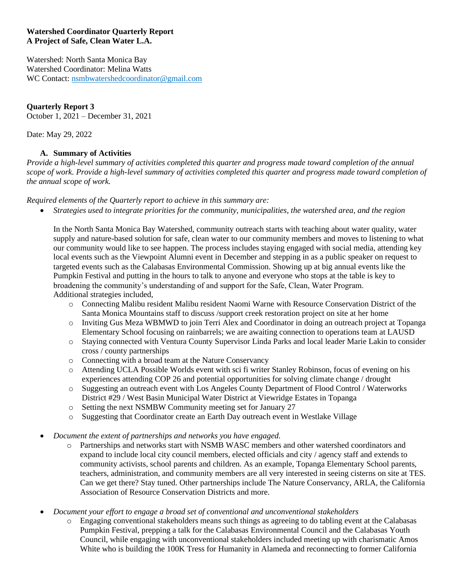#### **Watershed Coordinator Quarterly Report A Project of Safe, Clean Water L.A.**

Watershed: North Santa Monica Bay Watershed Coordinator: Melina Watts WC Contact: [nsmbwatershedcoordinator@gmail.com](mailto:nsmbwatershedcoordinator@gmail.com)

# **Quarterly Report 3**

October 1, 2021 – December 31, 2021

Date: May 29, 2022

## **A. Summary of Activities**

*Provide a high-level summary of activities completed this quarter and progress made toward completion of the annual scope of work. Provide a high-level summary of activities completed this quarter and progress made toward completion of the annual scope of work.*

*Required elements of the Quarterly report to achieve in this summary are:*

• *Strategies used to integrate priorities for the community, municipalities, the watershed area, and the region*

In the North Santa Monica Bay Watershed, community outreach starts with teaching about water quality, water supply and nature-based solution for safe, clean water to our community members and moves to listening to what our community would like to see happen. The process includes staying engaged with social media, attending key local events such as the Viewpoint Alumni event in December and stepping in as a public speaker on request to targeted events such as the Calabasas Environmental Commission. Showing up at big annual events like the Pumpkin Festival and putting in the hours to talk to anyone and everyone who stops at the table is key to broadening the community's understanding of and support for the Safe, Clean, Water Program. Additional strategies included,

- o Connecting Malibu resident Malibu resident Naomi Warne with Resource Conservation District of the Santa Monica Mountains staff to discuss /support creek restoration project on site at her home
- o Inviting Gus Meza WBMWD to join Terri Alex and Coordinator in doing an outreach project at Topanga Elementary School focusing on rainbarrels; we are awaiting connection to operations team at LAUSD
- o Staying connected with Ventura County Supervisor Linda Parks and local leader Marie Lakin to consider cross / county partnerships
- o Connecting with a broad team at the Nature Conservancy
- o Attending UCLA Possible Worlds event with sci fi writer Stanley Robinson, focus of evening on his experiences attending COP 26 and potential opportunities for solving climate change / drought
- o Suggesting an outreach event with Los Angeles County Department of Flood Control / Waterworks District #29 / West Basin Municipal Water District at Viewridge Estates in Topanga
- o Setting the next NSMBW Community meeting set for January 27
- o Suggesting that Coordinator create an Earth Day outreach event in Westlake Village
- *Document the extent of partnerships and networks you have engaged.*
	- o Partnerships and networks start with NSMB WASC members and other watershed coordinators and expand to include local city council members, elected officials and city / agency staff and extends to community activists, school parents and children. As an example, Topanga Elementary School parents, teachers, administration, and community members are all very interested in seeing cisterns on site at TES. Can we get there? Stay tuned. Other partnerships include The Nature Conservancy, ARLA, the California Association of Resource Conservation Districts and more.
- *Document your effort to engage a broad set of conventional and unconventional stakeholders*
	- o Engaging conventional stakeholders means such things as agreeing to do tabling event at the Calabasas Pumpkin Festival, prepping a talk for the Calabasas Environmental Council and the Calabasas Youth Council, while engaging with unconventional stakeholders included meeting up with charismatic Amos White who is building the 100K Tress for Humanity in Alameda and reconnecting to former California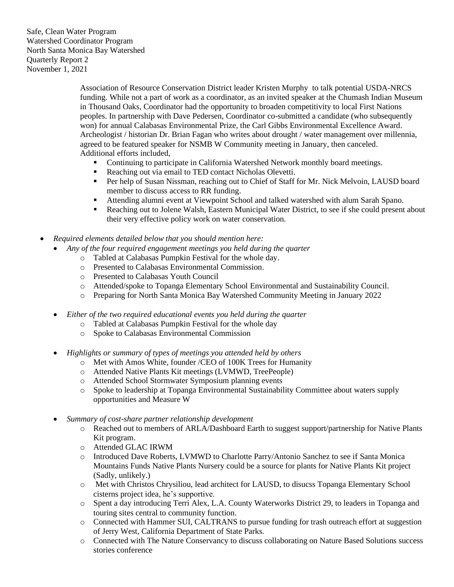> Association of Resource Conservation District leader Kristen Murphy to talk potential USDA-NRCS funding. While not a part of work as a coordinator, as an invited speaker at the Chumash Indian Museum in Thousand Oaks, Coordinator had the opportunity to broaden competitivity to local First Nations peoples. In partnership with Dave Pedersen, Coordinator co-submitted a candidate (who subsequently won) for annual Calabasas Environmental Prize, the Carl Gibbs Environmental Excellence Award. Archeologist / historian Dr. Brian Fagan who writes about drought / water management over millennia, agreed to be featured speaker for NSMB W Community meeting in January, then canceled. Additional efforts included,

- **•** Continuing to participate in California Watershed Network monthly board meetings.
- Reaching out via email to TED contact Nicholas Olevetti.
- Per help of Susan Nissman, reaching out to Chief of Staff for Mr. Nick Melvoin, LAUSD board member to discuss access to RR funding.
- Attending alumni event at Viewpoint School and talked watershed with alum Sarah Spano.
- Reaching out to Jolene Walsh, Eastern Municipal Water District, to see if she could present about their very effective policy work on water conservation.
- *Required elements detailed below that you should mention here:*
	- *Any of the four required engagement meetings you held during the quarter*
		- o Tabled at Calabasas Pumpkin Festival for the whole day.
		- o Presented to Calabasas Environmental Commission.
		- o Presented to Calabasas Youth Council
		- o Attended/spoke to Topanga Elementary School Environmental and Sustainability Council.
		- o Preparing for North Santa Monica Bay Watershed Community Meeting in January 2022
	- *Either of the two required educational events you held during the quarter*
		- o Tabled at Calabasas Pumpkin Festival for the whole day
		- o Spoke to Calabasas Environmental Commission
	- *Highlights or summary of types of meetings you attended held by others*
		- o Met with Amos White, founder /CEO of 100K Trees for Humanity
		- o Attended Native Plants Kit meetings (LVMWD, TreePeople)
		- o Attended School Stormwater Symposium planning events
		- o Spoke to leadership at Topanga Environmental Sustainability Committee about waters supply opportunities and Measure W
	- *Summary of cost-share partner relationship development*
		- o Reached out to members of ARLA/Dashboard Earth to suggest support/partnership for Native Plants Kit program.
		- o Attended GLAC IRWM
		- o Introduced Dave Roberts, LVMWD to Charlotte Parry/Antonio Sanchez to see if Santa Monica Mountains Funds Native Plants Nursery could be a source for plants for Native Plants Kit project (Sadly, unlikely.)
		- o Met with Christos Chrysiliou, lead architect for LAUSD, to disucss Topanga Elementary School cisterns project idea, he's supportive.
		- o Spent a day introducing Terri Alex, L.A. County Waterworks District 29, to leaders in Topanga and touring sites central to community function.
		- o Connected with Hammer SUI, CALTRANS to pursue funding for trash outreach effort at suggestion of Jerry West, California Department of State Parks.
		- o Connected with The Nature Conservancy to discuss collaborating on Nature Based Solutions success stories conference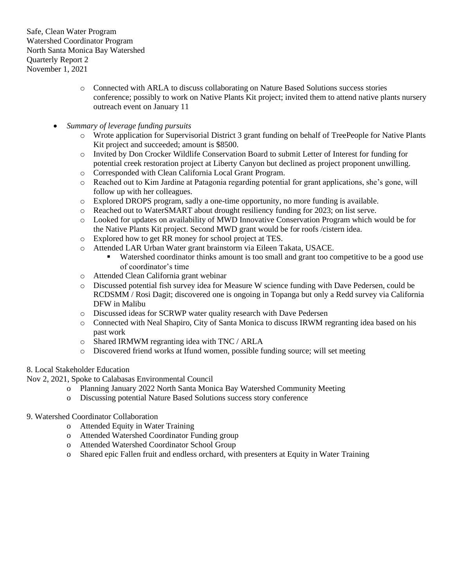- o Connected with ARLA to discuss collaborating on Nature Based Solutions success stories conference; possibly to work on Native Plants Kit project; invited them to attend native plants nursery outreach event on January 11
- *Summary of leverage funding pursuits*
	- o Wrote application for Supervisorial District 3 grant funding on behalf of TreePeople for Native Plants Kit project and succeeded; amount is \$8500.
	- o Invited by Don Crocker Wildlife Conservation Board to submit Letter of Interest for funding for potential creek restoration project at Liberty Canyon but declined as project proponent unwilling.
	- o Corresponded with Clean California Local Grant Program.
	- o Reached out to Kim Jardine at Patagonia regarding potential for grant applications, she's gone, will follow up with her colleagues.
	- o Explored DROPS program, sadly a one-time opportunity, no more funding is available.
	- o Reached out to WaterSMART about drought resiliency funding for 2023; on list serve.
	- o Looked for updates on availability of MWD Innovative Conservation Program which would be for the Native Plants Kit project. Second MWD grant would be for roofs /cistern idea.
	- o Explored how to get RR money for school project at TES.
	- o Attended LAR Urban Water grant brainstorm via Eileen Takata, USACE.
		- Watershed coordinator thinks amount is too small and grant too competitive to be a good use of coordinator's time
	- o Attended Clean California grant webinar
	- o Discussed potential fish survey idea for Measure W science funding with Dave Pedersen, could be RCDSMM / Rosi Dagit; discovered one is ongoing in Topanga but only a Redd survey via California DFW in Malibu
	- o Discussed ideas for SCRWP water quality research with Dave Pedersen
	- o Connected with Neal Shapiro, City of Santa Monica to discuss IRWM regranting idea based on his past work
	- o Shared IRMWM regranting idea with TNC / ARLA
	- o Discovered friend works at Ifund women, possible funding source; will set meeting

#### 8. Local Stakeholder Education

Nov 2, 2021, Spoke to Calabasas Environmental Council

- o Planning January 2022 North Santa Monica Bay Watershed Community Meeting
- o Discussing potential Nature Based Solutions success story conference
- 9. Watershed Coordinator Collaboration
	- o Attended Equity in Water Training
	- o Attended Watershed Coordinator Funding group
	- o Attended Watershed Coordinator School Group
	- o Shared epic Fallen fruit and endless orchard, with presenters at Equity in Water Training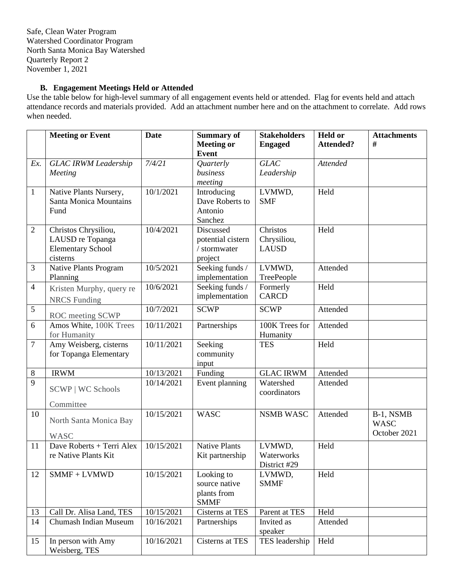# **B. Engagement Meetings Held or Attended**

Use the table below for high-level summary of all engagement events held or attended. Flag for events held and attach attendance records and materials provided. Add an attachment number here and on the attachment to correlate. Add rows when needed.

|                | <b>Meeting or Event</b>                | <b>Date</b> | <b>Summary of</b><br><b>Meeting or</b> | <b>Stakeholders</b><br><b>Engaged</b> | <b>Held or</b><br><b>Attended?</b> | <b>Attachments</b><br># |
|----------------|----------------------------------------|-------------|----------------------------------------|---------------------------------------|------------------------------------|-------------------------|
|                |                                        |             | <b>Event</b>                           |                                       |                                    |                         |
| Ex.            | <b>GLAC IRWM Leadership</b>            | 7/4/21      | Quarterly                              | <b>GLAC</b>                           | <b>Attended</b>                    |                         |
|                | Meeting                                |             | business                               | Leadership                            |                                    |                         |
|                |                                        |             | meeting                                |                                       |                                    |                         |
| $\mathbf{1}$   | Native Plants Nursery,                 | 10/1/2021   | Introducing                            | LVMWD,                                | Held                               |                         |
|                | <b>Santa Monica Mountains</b>          |             | Dave Roberts to                        | <b>SMF</b>                            |                                    |                         |
|                | Fund                                   |             | Antonio                                |                                       |                                    |                         |
|                |                                        |             | Sanchez                                |                                       |                                    |                         |
| $\overline{2}$ | Christos Chrysiliou,                   | 10/4/2021   | Discussed                              | Christos                              | Held                               |                         |
|                | LAUSD re Topanga                       |             | potential cistern<br>/ stormwater      | Chrysiliou,<br><b>LAUSD</b>           |                                    |                         |
|                | <b>Elementary School</b><br>cisterns   |             | project                                |                                       |                                    |                         |
| $\mathfrak{Z}$ | Native Plants Program                  | 10/5/2021   | Seeking funds /                        | LVMWD,                                | Attended                           |                         |
|                | Planning                               |             | implementation                         | TreePeople                            |                                    |                         |
| $\overline{4}$ | Kristen Murphy, query re               | 10/6/2021   | Seeking funds /                        | Formerly                              | Held                               |                         |
|                | <b>NRCS</b> Funding                    |             | implementation                         | <b>CARCD</b>                          |                                    |                         |
| 5              |                                        | 10/7/2021   | <b>SCWP</b>                            | <b>SCWP</b>                           | Attended                           |                         |
|                | ROC meeting SCWP                       |             |                                        |                                       |                                    |                         |
| 6              | Amos White, 100K Trees                 | 10/11/2021  | Partnerships                           | 100K Trees for                        | Attended                           |                         |
| $\tau$         | for Humanity<br>Amy Weisberg, cisterns | 10/11/2021  | Seeking                                | Humanity<br><b>TES</b>                | Held                               |                         |
|                | for Topanga Elementary                 |             | community                              |                                       |                                    |                         |
|                |                                        |             | input                                  |                                       |                                    |                         |
| $\,8\,$        | <b>IRWM</b>                            | 10/13/2021  | Funding                                | <b>GLAC IRWM</b>                      | Attended                           |                         |
| 9              |                                        | 10/14/2021  | Event planning                         | Watershed                             | Attended                           |                         |
|                | <b>SCWP   WC Schools</b>               |             |                                        | coordinators                          |                                    |                         |
|                | Committee                              |             |                                        |                                       |                                    |                         |
| 10             |                                        | 10/15/2021  | <b>WASC</b>                            | <b>NSMB WASC</b>                      | Attended                           | B-1, NSMB               |
|                | North Santa Monica Bay                 |             |                                        |                                       |                                    | <b>WASC</b>             |
|                | <b>WASC</b>                            |             |                                        |                                       |                                    | October 2021            |
| 11             | Dave Roberts + Terri Alex              | 10/15/2021  | <b>Native Plants</b>                   | LVMWD,                                | Held                               |                         |
|                | re Native Plants Kit                   |             | Kit partnership                        | Waterworks                            |                                    |                         |
|                |                                        |             |                                        | District #29                          |                                    |                         |
| 12             | $SMMF + LVMWD$                         | 10/15/2021  | Looking to                             | LVMWD,                                | Held                               |                         |
|                |                                        |             | source native<br>plants from           | <b>SMMF</b>                           |                                    |                         |
|                |                                        |             | <b>SMMF</b>                            |                                       |                                    |                         |
| 13             | Call Dr. Alisa Land, TES               | 10/15/2021  | Cisterns at TES                        | Parent at TES                         | Held                               |                         |
| 14             | Chumash Indian Museum                  | 10/16/2021  | Partnerships                           | Invited as                            | Attended                           |                         |
|                |                                        |             |                                        | speaker                               |                                    |                         |
| 15             | In person with Amy                     | 10/16/2021  | Cisterns at TES                        | TES leadership                        | Held                               |                         |
|                | Weisberg, TES                          |             |                                        |                                       |                                    |                         |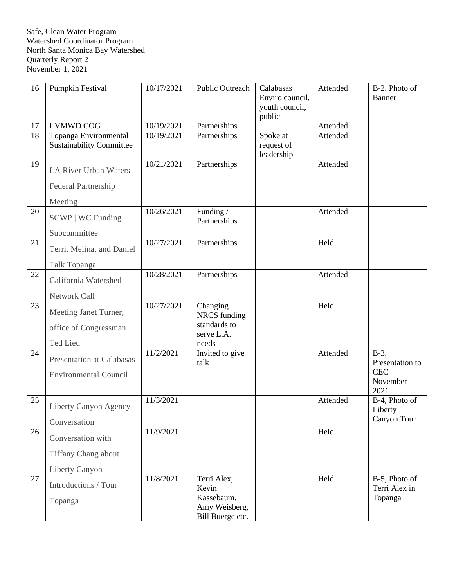| 16              | Pumpkin Festival                                                 | 10/17/2021 | Public Outreach                                                         | Calabasas<br>Enviro council,<br>youth council,<br>public | Attended | B-2, Photo of<br>Banner                                      |
|-----------------|------------------------------------------------------------------|------------|-------------------------------------------------------------------------|----------------------------------------------------------|----------|--------------------------------------------------------------|
| 17              | <b>LVMWD COG</b>                                                 | 10/19/2021 | Partnerships                                                            |                                                          | Attended |                                                              |
| $\overline{18}$ | Topanga Environmental<br><b>Sustainability Committee</b>         | 10/19/2021 | Partnerships                                                            | Spoke at<br>request of<br>leadership                     | Attended |                                                              |
| 19              | LA River Urban Waters                                            | 10/21/2021 | Partnerships                                                            |                                                          | Attended |                                                              |
|                 | Federal Partnership                                              |            |                                                                         |                                                          |          |                                                              |
|                 | Meeting                                                          |            |                                                                         |                                                          |          |                                                              |
| 20              | <b>SCWP</b>   WC Funding                                         | 10/26/2021 | Funding /<br>Partnerships                                               |                                                          | Attended |                                                              |
|                 | Subcommittee                                                     |            |                                                                         |                                                          |          |                                                              |
| 21              | Terri, Melina, and Daniel                                        | 10/27/2021 | Partnerships                                                            |                                                          | Held     |                                                              |
|                 | Talk Topanga                                                     |            |                                                                         |                                                          |          |                                                              |
| 22              | California Watershed                                             | 10/28/2021 | Partnerships                                                            |                                                          | Attended |                                                              |
|                 | Network Call                                                     |            |                                                                         |                                                          |          |                                                              |
| 23              | Meeting Janet Turner,<br>office of Congressman                   | 10/27/2021 | Changing<br><b>NRCS</b> funding<br>standards to<br>serve L.A.           |                                                          | Held     |                                                              |
|                 | Ted Lieu                                                         |            | needs                                                                   |                                                          |          |                                                              |
| 24              | <b>Presentation at Calabasas</b><br><b>Environmental Council</b> | 11/2/2021  | Invited to give<br>talk                                                 |                                                          | Attended | $B-3$ ,<br>Presentation to<br><b>CEC</b><br>November<br>2021 |
| 25              | Liberty Canyon Agency<br>Conversation                            | 11/3/2021  |                                                                         |                                                          | Attended | B-4, Photo of<br>Liberty<br>Canyon Tour                      |
| 26              |                                                                  | 11/9/2021  |                                                                         |                                                          | Held     |                                                              |
|                 | Conversation with                                                |            |                                                                         |                                                          |          |                                                              |
|                 | Tiffany Chang about                                              |            |                                                                         |                                                          |          |                                                              |
|                 | Liberty Canyon                                                   |            |                                                                         |                                                          |          |                                                              |
| 27              | Introductions / Tour<br>Topanga                                  | 11/8/2021  | Terri Alex,<br>Kevin<br>Kassebaum,<br>Amy Weisberg,<br>Bill Buerge etc. |                                                          | Held     | B-5, Photo of<br>Terri Alex in<br>Topanga                    |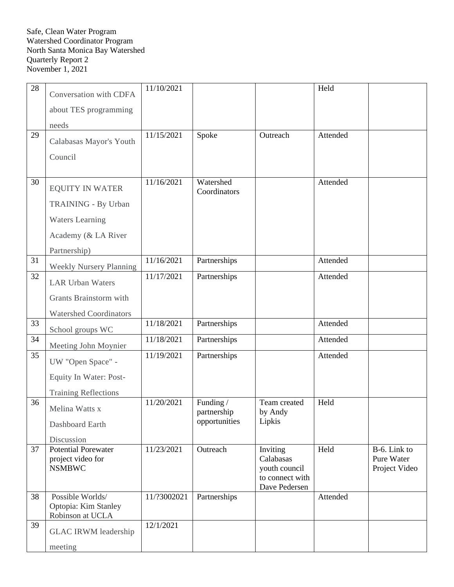| 28 | Conversation with CDFA                          | 11/10/2021  |                           |                                  | Held     |                            |
|----|-------------------------------------------------|-------------|---------------------------|----------------------------------|----------|----------------------------|
|    | about TES programming                           |             |                           |                                  |          |                            |
|    |                                                 |             |                           |                                  |          |                            |
| 29 | needs                                           | 11/15/2021  | Spoke                     | Outreach                         | Attended |                            |
|    | Calabasas Mayor's Youth                         |             |                           |                                  |          |                            |
|    | Council                                         |             |                           |                                  |          |                            |
|    |                                                 |             |                           |                                  |          |                            |
| 30 | <b>EQUITY IN WATER</b>                          | 11/16/2021  | Watershed<br>Coordinators |                                  | Attended |                            |
|    | TRAINING - By Urban                             |             |                           |                                  |          |                            |
|    | <b>Waters Learning</b>                          |             |                           |                                  |          |                            |
|    | Academy (& LA River                             |             |                           |                                  |          |                            |
|    | Partnership)                                    |             |                           |                                  |          |                            |
| 31 | <b>Weekly Nursery Planning</b>                  | 11/16/2021  | Partnerships              |                                  | Attended |                            |
| 32 | <b>LAR Urban Waters</b>                         | 11/17/2021  | Partnerships              |                                  | Attended |                            |
|    | Grants Brainstorm with                          |             |                           |                                  |          |                            |
|    | <b>Watershed Coordinators</b>                   |             |                           |                                  |          |                            |
| 33 | School groups WC                                | 11/18/2021  | Partnerships              |                                  | Attended |                            |
| 34 | Meeting John Moynier                            | 11/18/2021  | Partnerships              |                                  | Attended |                            |
| 35 | UW "Open Space" -                               | 11/19/2021  | Partnerships              |                                  | Attended |                            |
|    | Equity In Water: Post-                          |             |                           |                                  |          |                            |
|    | <b>Training Reflections</b>                     |             |                           |                                  |          |                            |
| 36 | Melina Watts x                                  | 11/20/2021  | Funding /<br>partnership  | Team created<br>by Andy          | Held     |                            |
|    | Dashboard Earth                                 |             | opportunities             | Lipkis                           |          |                            |
|    | Discussion                                      |             |                           |                                  |          |                            |
| 37 | <b>Potential Porewater</b><br>project video for | 11/23/2021  | Outreach                  | Inviting<br>Calabasas            | Held     | B-6. Link to<br>Pure Water |
|    | <b>NSMBWC</b>                                   |             |                           | youth council                    |          | Project Video              |
|    |                                                 |             |                           | to connect with<br>Dave Pedersen |          |                            |
| 38 | Possible Worlds/                                | 11/?3002021 | Partnerships              |                                  | Attended |                            |
|    | Optopia: Kim Stanley<br>Robinson at UCLA        |             |                           |                                  |          |                            |
| 39 | <b>GLAC IRWM leadership</b>                     | 12/1/2021   |                           |                                  |          |                            |
|    |                                                 |             |                           |                                  |          |                            |
|    | meeting                                         |             |                           |                                  |          |                            |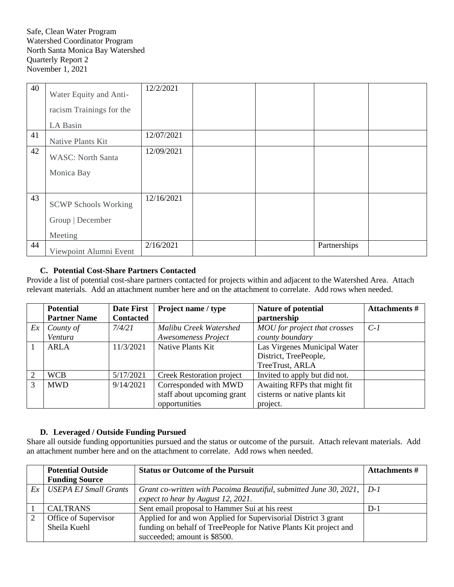| 40 | Water Equity and Anti-<br>racism Trainings for the         | 12/2/2021  |  |              |  |
|----|------------------------------------------------------------|------------|--|--------------|--|
|    | LA Basin                                                   |            |  |              |  |
| 41 | Native Plants Kit                                          | 12/07/2021 |  |              |  |
| 42 | <b>WASC: North Santa</b><br>Monica Bay                     | 12/09/2021 |  |              |  |
| 43 | <b>SCWP Schools Working</b><br>Group   December<br>Meeting | 12/16/2021 |  |              |  |
| 44 | Viewpoint Alumni Event                                     | 2/16/2021  |  | Partnerships |  |

# **C. Potential Cost-Share Partners Contacted**

Provide a list of potential cost-share partners contacted for projects within and adjacent to the Watershed Area. Attach relevant materials. Add an attachment number here and on the attachment to correlate. Add rows when needed.

|    | <b>Potential</b>    | <b>Date First</b> | Project name / type              | Nature of potential           | <b>Attachments #</b> |
|----|---------------------|-------------------|----------------------------------|-------------------------------|----------------------|
|    | <b>Partner Name</b> | <b>Contacted</b>  |                                  | partnership                   |                      |
| Ex | County of           | 7/4/21            | Malibu Creek Watershed           | MOU for project that crosses  | $C-1$                |
|    | Ventura             |                   | <b>Awesomeness Project</b>       | county boundary               |                      |
|    | ARLA                | 11/3/2021         | Native Plants Kit                | Las Virgenes Municipal Water  |                      |
|    |                     |                   |                                  | District, TreePeople,         |                      |
|    |                     |                   |                                  | TreeTrust, ARLA               |                      |
|    | <b>WCB</b>          | 5/17/2021         | <b>Creek Restoration project</b> | Invited to apply but did not. |                      |
| 3  | <b>MWD</b>          | 9/14/2021         | Corresponded with MWD            | Awaiting RFPs that might fit  |                      |
|    |                     |                   | staff about upcoming grant       | cisterns or native plants kit |                      |
|    |                     |                   | opportunities                    | project.                      |                      |

## **D. Leveraged / Outside Funding Pursued**

Share all outside funding opportunities pursued and the status or outcome of the pursuit. Attach relevant materials. Add an attachment number here and on the attachment to correlate. Add rows when needed.

|    | <b>Potential Outside</b>     | <b>Status or Outcome of the Pursuit</b>                           | Attachments # |
|----|------------------------------|-------------------------------------------------------------------|---------------|
|    | <b>Funding Source</b>        |                                                                   |               |
| Ex | <b>USEPA EJ Small Grants</b> | Grant co-written with Pacoima Beautiful, submitted June 30, 2021, | $D-1$         |
|    |                              | expect to hear by August 12, 2021.                                |               |
|    | <b>CALTRANS</b>              | Sent email proposal to Hammer Sui at his reest                    | $D-1$         |
|    | Office of Supervisor         | Applied for and won Applied for Supervisorial District 3 grant    |               |
|    | Sheila Kuehl                 | funding on behalf of TreePeople for Native Plants Kit project and |               |
|    |                              | succeeded; amount is \$8500.                                      |               |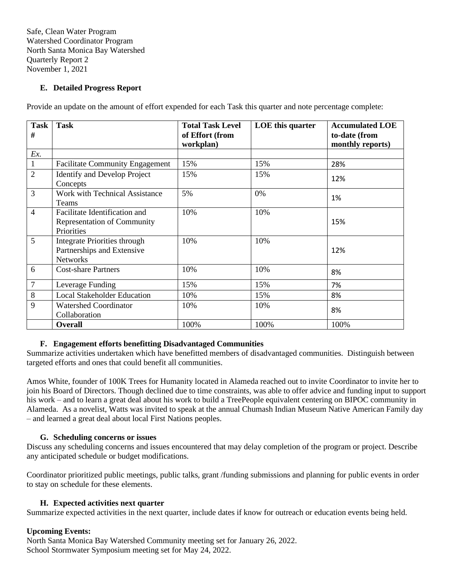# **E. Detailed Progress Report**

Provide an update on the amount of effort expended for each Task this quarter and note percentage complete:

| <b>Task</b><br># | <b>Task</b>                                                                       | <b>Total Task Level</b><br>of Effort (from<br>workplan) | LOE this quarter | <b>Accumulated LOE</b><br>to-date (from<br>monthly reports) |
|------------------|-----------------------------------------------------------------------------------|---------------------------------------------------------|------------------|-------------------------------------------------------------|
| Ex.              |                                                                                   |                                                         |                  |                                                             |
| $\mathbf{1}$     | <b>Facilitate Community Engagement</b>                                            | 15%                                                     | 15%              | 28%                                                         |
| $\overline{2}$   | <b>Identify and Develop Project</b><br>Concepts                                   | 15%                                                     | 15%              | 12%                                                         |
| 3                | Work with Technical Assistance<br>Teams                                           | 5%                                                      | 0%               | 1%                                                          |
| $\overline{4}$   | Facilitate Identification and<br><b>Representation of Community</b><br>Priorities | 10%                                                     | 10%              | 15%                                                         |
| 5                | Integrate Priorities through<br>Partnerships and Extensive<br><b>Networks</b>     | 10%                                                     | 10%              | 12%                                                         |
| 6                | <b>Cost-share Partners</b>                                                        | 10%                                                     | 10%              | 8%                                                          |
| $\overline{7}$   | Leverage Funding                                                                  | 15%                                                     | 15%              | 7%                                                          |
| 8                | <b>Local Stakeholder Education</b>                                                | 10%                                                     | 15%              | 8%                                                          |
| 9                | <b>Watershed Coordinator</b><br>Collaboration                                     | 10%                                                     | 10%              | 8%                                                          |
|                  | <b>Overall</b>                                                                    | 100%                                                    | 100%             | 100%                                                        |

## **F. Engagement efforts benefitting Disadvantaged Communities**

Summarize activities undertaken which have benefitted members of disadvantaged communities. Distinguish between targeted efforts and ones that could benefit all communities.

Amos White, founder of 100K Trees for Humanity located in Alameda reached out to invite Coordinator to invite her to join his Board of Directors. Though declined due to time constraints, was able to offer advice and funding input to support his work – and to learn a great deal about his work to build a TreePeople equivalent centering on BIPOC community in Alameda. As a novelist, Watts was invited to speak at the annual Chumash Indian Museum Native American Family day – and learned a great deal about local First Nations peoples.

#### **G. Scheduling concerns or issues**

Discuss any scheduling concerns and issues encountered that may delay completion of the program or project. Describe any anticipated schedule or budget modifications.

Coordinator prioritized public meetings, public talks, grant /funding submissions and planning for public events in order to stay on schedule for these elements.

#### **H. Expected activities next quarter**

Summarize expected activities in the next quarter, include dates if know for outreach or education events being held.

## **Upcoming Events:**

North Santa Monica Bay Watershed Community meeting set for January 26, 2022. School Stormwater Symposium meeting set for May 24, 2022.